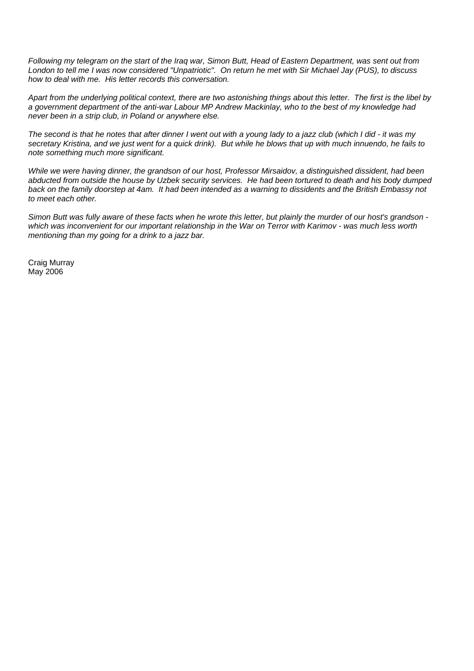*Following my telegram on the start of the Iraq war, Simon Butt, Head of Eastern Department, was sent out from London to tell me I was now considered "Unpatriotic". On return he met with Sir Michael Jay (PUS), to discuss how to deal with me. His letter records this conversation.* 

*Apart from the underlying political context, there are two astonishing things about this letter. The first is the libel by a government department of the anti-war Labour MP Andrew Mackinlay, who to the best of my knowledge had never been in a strip club, in Poland or anywhere else.* 

*The second is that he notes that after dinner I went out with a young lady to a jazz club (which I did - it was my secretary Kristina, and we just went for a quick drink). But while he blows that up with much innuendo, he fails to note something much more significant.* 

*While we were having dinner, the grandson of our host, Professor Mirsaidov, a distinguished dissident, had been abducted from outside the house by Uzbek security services. He had been tortured to death and his body dumped back on the family doorstep at 4am. It had been intended as a warning to dissidents and the British Embassy not to meet each other.* 

*Simon Butt was fully aware of these facts when he wrote this letter, but plainly the murder of our host's grandson which was inconvenient for our important relationship in the War on Terror with Karimov - was much less worth mentioning than my going for a drink to a jazz bar.* 

Craig Murray May 2006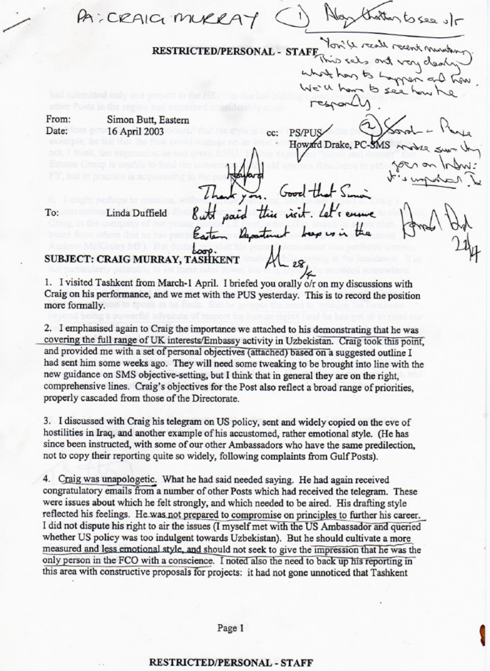PA: CRAIG MUR **RESTRICTED/PERSONAL - STAFF** 

cc:

From: Simon Butt, Eastern Date: 16 April 2003

To:

**PS/PHS** Howard Drake, PC

n deal men

to see h

inda Duffield

## SUBJECT: CRAIG MURRAY, TASHKENT

1. I visited Tashkent from March-1 April. I briefed you orally o/r on my discussions with Craig on his performance, and we met with the PUS yesterday. This is to record the position more formally.

2. I emphasised again to Craig the importance we attached to his demonstrating that he was covering the full range of UK interests/Embassy activity in Uzbekistan. Craig took this point, and provided me with a set of personal objectives (attached) based on a suggested outline I had sent him some weeks ago. They will need some tweaking to be brought into line with the new guidance on SMS objective-setting, but I think that in general they are on the right, comprehensive lines. Craig's objectives for the Post also reflect a broad range of priorities, properly cascaded from those of the Directorate.

3. I discussed with Craig his telegram on US policy, sent and widely copied on the eye of hostilities in Iraq, and another example of his accustomed, rather emotional style. (He has since been instructed, with some of our other Ambassadors who have the same predilection, not to copy their reporting quite so widely, following complaints from Gulf Posts).

4. Craig was unapologetic. What he had said needed saying. He had again received congratulatory emails from a number of other Posts which had received the telegram. These were issues about which he felt strongly, and which needed to be aired. His drafting style reflected his feelings. He was not prepared to compromise on principles to further his career. I did not dispute his right to air the issues (I myself met with the US Ambassador and queried whether US policy was too indulgent towards Uzbekistan). But he should cultivate a more measured and less emotional style, and should not seek to give the impression that he was the only person in the FCO with a conscience. I noted also the need to back up his reporting in this area with constructive proposals for projects: it had not gone unnoticed that Tashkent

Page 1

## **RESTRICTED/PERSONAL - STAFF**